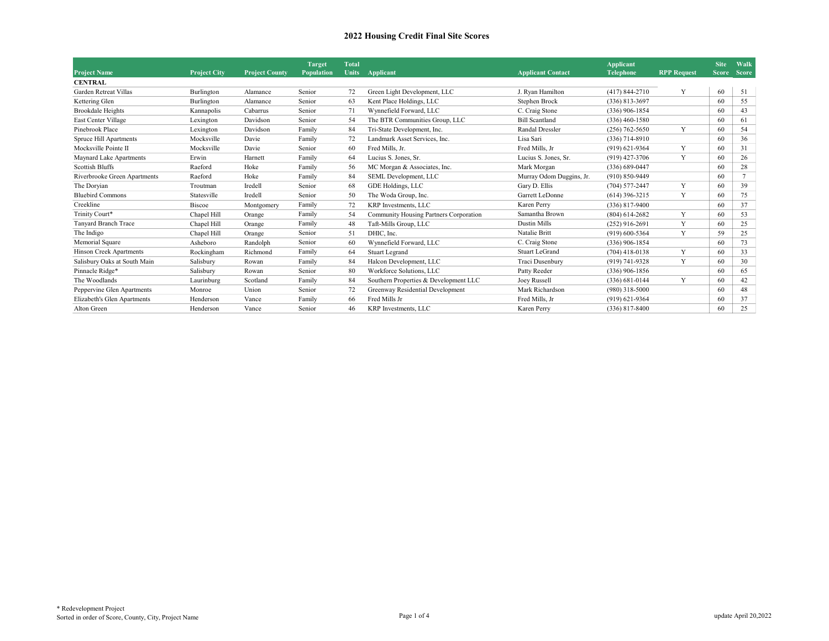|                                |                     |                       | <b>Target</b> | Total        |                                        |                          | <b>Applicant</b>   |                    | <b>Site</b>  | Walk           |
|--------------------------------|---------------------|-----------------------|---------------|--------------|----------------------------------------|--------------------------|--------------------|--------------------|--------------|----------------|
| <b>Project Name</b>            | <b>Project City</b> | <b>Project County</b> | Population    | <b>Units</b> | Applicant                              | <b>Applicant Contact</b> | <b>Telephone</b>   | <b>RPP Request</b> | <b>Score</b> | <b>Score</b>   |
| <b>CENTRAL</b>                 |                     |                       |               |              |                                        |                          |                    |                    |              |                |
| Garden Retreat Villas          | Burlington          | Alamance              | Senior        | 72           | Green Light Development, LLC           | J. Ryan Hamilton         | $(417)$ 844-2710   | Y                  | 60           | 51             |
| Kettering Glen                 | Burlington          | Alamance              | Senior        | 63           | Kent Place Holdings, LLC               | Stephen Brock            | $(336) 813 - 3697$ |                    | 60           | 55             |
| Brookdale Heights              | Kannapolis          | Cabarrus              | Senior        | 71           | Wynnefield Forward, LLC                | C. Craig Stone           | $(336)$ 906-1854   |                    | 60           | 43             |
| East Center Village            | Lexington           | Davidson              | Senior        | 54           | The BTR Communities Group, LLC         | <b>Bill Scantland</b>    | $(336)$ 460-1580   |                    | 60           | 61             |
| Pinebrook Place                | Lexington           | Davidson              | Family        | 84           | Tri-State Development, Inc.            | Randal Dressler          | $(256) 762 - 5650$ | Y                  | 60           | 54             |
| <b>Spruce Hill Apartments</b>  | Mocksville          | Davie                 | Family        | 72           | Landmark Asset Services, Inc.          | Lisa Sari                | $(336)$ 714-8910   |                    | 60           | 36             |
| Mocksville Pointe II           | Mocksville          | Davie                 | Senior        | 60           | Fred Mills, Jr.                        | Fred Mills, Jr           | $(919) 621 - 9364$ | Y                  | 60           | 31             |
| Maynard Lake Apartments        | Erwin               | Harnett               | Family        | 64           | Lucius S. Jones, Sr.                   | Lucius S. Jones, Sr.     | $(919)$ 427-3706   | Y                  | 60           | 26             |
| <b>Scottish Bluffs</b>         | Raeford             | Hoke                  | Family        | 56           | MC Morgan & Associates, Inc.           | Mark Morgan              | $(336) 689 - 0447$ |                    | 60           | 28             |
| Riverbrooke Green Apartments   | Raeford             | Hoke                  | Family        | 84           | SEML Development, LLC                  | Murray Odom Duggins, Jr. | $(910) 850 - 9449$ |                    | 60           | $\overline{7}$ |
| The Doryian                    | Troutman            | Iredell               | Senior        | 68           | GDE Holdings, LLC                      | Gary D. Ellis            | $(704)$ 577-2447   | Y                  | 60           | 39             |
| <b>Bluebird Commons</b>        | Statesville         | Iredell               | Senior        | 50           | The Woda Group, Inc.                   | Garrett LeDonne          | $(614)$ 396-3215   | Y                  | 60           | 75             |
| Creekline                      | <b>Biscoe</b>       | Montgomery            | Family        | 72           | KRP Investments, LLC                   | Karen Perry              | $(336)$ 817-9400   |                    | 60           | 37             |
| Trinity Court*                 | Chapel Hill         | Orange                | Family        | 54           | Community Housing Partners Corporation | Samantha Brown           | $(804) 614 - 2682$ | Y                  | 60           | 53             |
| Tanyard Branch Trace           | Chapel Hill         | Orange                | Family        | 48           | Taft-Mills Group, LLC                  | <b>Dustin Mills</b>      | $(252)$ 916-2691   | Y                  | 60           | 25             |
| The Indigo                     | Chapel Hill         | Orange                | Senior        | 51           | DHIC. Inc.                             | Natalie Britt            | $(919)$ 600-5364   | Y                  | 59           | 25             |
| Memorial Square                | Asheboro            | Randolph              | Senior        | 60           | Wynnefield Forward, LLC                | C. Craig Stone           | $(336)$ 906-1854   |                    | 60           | 73             |
| <b>Hinson Creek Apartments</b> | Rockingham          | Richmond              | Family        | 64           | <b>Stuart Legrand</b>                  | <b>Stuart LeGrand</b>    | $(704)$ 418-0138   | Y                  | 60           | 33             |
| Salisbury Oaks at South Main   | Salisbury           | Rowan                 | Family        | 84           | Halcon Development, LLC                | Traci Dusenbury          | $(919) 741 - 9328$ | Y                  | 60           | 30             |
| Pinnacle Ridge*                | Salisbury           | Rowan                 | Senior        | 80           | Workforce Solutions, LLC               | Patty Reeder             | $(336)$ 906-1856   |                    | 60           | 65             |
| The Woodlands                  | Laurinburg          | Scotland              | Family        | 84           | Southern Properties & Development LLC  | Joey Russell             | $(336)$ 681-0144   | Y                  | 60           | 42             |
| Peppervine Glen Apartments     | Monroe              | Union                 | Senior        | 72           | Greenway Residential Development       | Mark Richardson          | $(980)$ 318-5000   |                    | 60           | 48             |
| Elizabeth's Glen Apartments    | Henderson           | Vance                 | Family        | 66           | Fred Mills Jr                          | Fred Mills, Jr           | $(919) 621 - 9364$ |                    | 60           | 37             |
| Alton Green                    | Henderson           | Vance                 | Senior        | 46           | KRP Investments, LLC                   | Karen Perry              | $(336)$ 817-8400   |                    | 60           | 25             |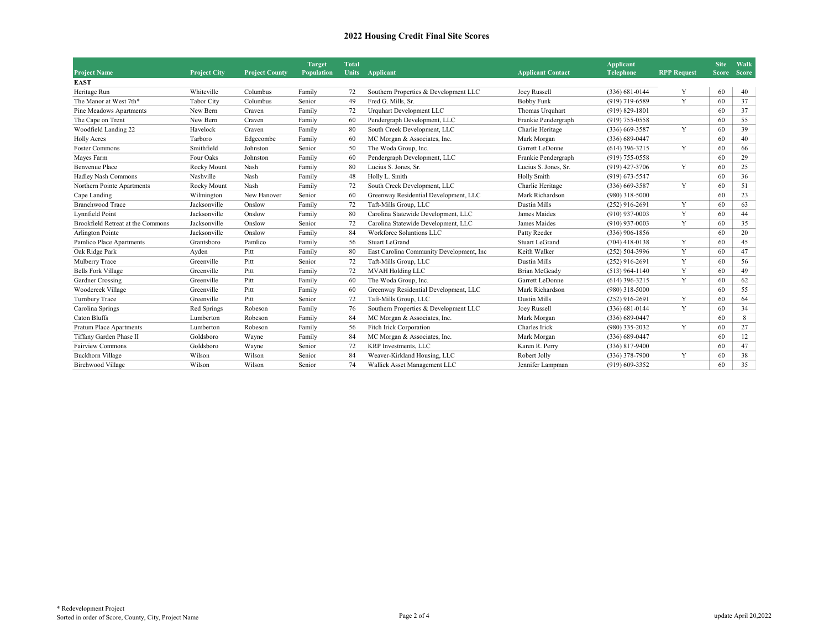| <b>Project Name</b>               | <b>Project City</b> | <b>Project County</b> | <b>Target</b><br><b>Population</b> | <b>Total</b><br><b>Units</b> | Applicant<br><b>Applicant Contact</b>     |                       | <b>Applicant</b><br><b>Telephone</b> | <b>RPP Request</b> | <b>Site</b> | Walk<br>Score Score |
|-----------------------------------|---------------------|-----------------------|------------------------------------|------------------------------|-------------------------------------------|-----------------------|--------------------------------------|--------------------|-------------|---------------------|
| <b>EAST</b>                       |                     |                       |                                    |                              |                                           |                       |                                      |                    |             |                     |
| Heritage Run                      | Whiteville          | Columbus              | Family                             | 72                           | Southern Properties & Development LLC     | Joey Russell          | $(336) 681 - 0144$                   | Y                  | 60          | 40                  |
| The Manor at West 7th*            | <b>Tabor City</b>   | Columbus              | Senior                             | 49                           | Fred G. Mills, Sr.                        | <b>Bobby Funk</b>     | $(919)$ 719-6589                     | Y                  | 60          | 37                  |
| Pine Meadows Apartments           | New Bern            | Craven                | Family                             | 72                           | Urquhart Development LLC                  | Thomas Urquhart       | $(919) 829 - 1801$                   |                    | 60          | 37                  |
| The Cape on Trent                 | New Bern            | Craven                | Family                             | 60                           | Pendergraph Development, LLC              | Frankie Pendergraph   | $(919)$ 755-0558                     |                    | 60          | 55                  |
| Woodfield Landing 22              | Havelock            | Craven                | Family                             | 80                           | South Creek Development, LLC              | Charlie Heritage      | $(336)$ 669-3587                     | Y                  | 60          | 39                  |
| <b>Holly Acres</b>                | Tarboro             | Edgecombe             | Family                             | 60                           | MC Morgan & Associates, Inc.              | Mark Morgan           | $(336)$ 689-0447                     |                    | 60          | 40                  |
| <b>Foster Commons</b>             | Smithfield          | Johnston              | Senior                             | 50                           | The Woda Group, Inc.                      | Garrett LeDonne       | $(614)$ 396-3215                     | Y                  | 60          | 66                  |
| Mayes Farm                        | Four Oaks           | Johnston              | Family                             | 60                           | Pendergraph Development, LLC              | Frankie Pendergraph   | $(919)$ 755-0558                     |                    | 60          | 29                  |
| <b>Benvenue Place</b>             | Rocky Mount         | Nash                  | Family                             | 80                           | Lucius S. Jones, Sr.                      | Lucius S. Jones, Sr.  | (919) 427-3706                       | Y                  | 60          | 25                  |
| Hadley Nash Commons               | Nashville           | Nash                  | Family                             | 48                           | Holly L. Smith                            | Holly Smith           | $(919)$ 673-5547                     |                    | 60          | 36                  |
| Northern Pointe Apartments        | Rocky Mount         | Nash                  | Family                             | 72                           | South Creek Development, LLC              | Charlie Heritage      | $(336)$ 669-3587                     | Y                  | 60          | 51                  |
| Cape Landing                      | Wilmington          | New Hanover           | Senior                             | 60                           | Greenway Residential Development, LLC     | Mark Richardson       | $(980)$ 318-5000                     |                    | 60          | 23                  |
| Branchwood Trace                  | Jacksonville        | Onslow                | Family                             | 72                           | Taft-Mills Group, LLC                     | <b>Dustin Mills</b>   | $(252)$ 916-2691                     | Y                  | 60          | 63                  |
| Lynnfield Point                   | Jacksonville        | Onslow                | Family                             | 80                           | Carolina Statewide Development, LLC       | James Maides          | $(910)$ 937-0003                     | Y                  | 60          | 44                  |
| Brookfield Retreat at the Commons | Jacksonville        | Onslow                | Senior                             | 72                           | Carolina Statewide Development, LLC       | James Maides          | $(910)$ 937-0003                     | Y                  | 60          | 35                  |
| Arlington Pointe                  | Jacksonville        | Onslow                | Family                             | 84                           | <b>Workforce Soluntions LLC</b>           | Patty Reeder          | $(336)$ 906-1856                     |                    | 60          | 20                  |
| Pamlico Place Apartments          | Grantsboro          | Pamlico               | Family                             | 56                           | <b>Stuart LeGrand</b>                     | <b>Stuart LeGrand</b> | $(704)$ 418-0138                     | Y                  | 60          | 45                  |
| Oak Ridge Park                    | Ayden               | Pitt                  | Family                             | 80                           | East Carolina Community Development, Inc. | Keith Walker          | $(252) 504 - 3996$                   | Y                  | 60          | 47                  |
| Mulberry Trace                    | Greenville          | Pitt                  | Senior                             | 72                           | Taft-Mills Group, LLC                     | <b>Dustin Mills</b>   | $(252)$ 916-2691                     | Y                  | 60          | 56                  |
| <b>Bells Fork Village</b>         | Greenville          | Pitt                  | Family                             | 72                           | <b>MVAH Holding LLC</b>                   | Brian McGeady         | $(513)$ 964-1140                     | Y                  | 60          | 49                  |
| Gardner Crossing                  | Greenville          | Pitt                  | Family                             | 60                           | The Woda Group, Inc.                      | Garrett LeDonne       | $(614)$ 396-3215                     | Y                  | 60          | 62                  |
| Woodcreek Village                 | Greenville          | Pitt                  | Family                             | 60                           | Greenway Residential Development, LLC     | Mark Richardson       | $(980)$ 318-5000                     |                    | 60          | 55                  |
| Turnbury Trace                    | Greenville          | Pitt                  | Senior                             | 72                           | Taft-Mills Group, LLC                     | <b>Dustin Mills</b>   | $(252)$ 916-2691                     | Y                  | 60          | 64                  |
| Carolina Springs                  | Red Springs         | Robeson               | Family                             | 76                           | Southern Properties & Development LLC     | Joey Russell          | $(336) 681 - 0144$                   | Y                  | 60          | 34                  |
| Caton Bluffs                      | Lumberton           | Robeson               | Family                             | 84                           | MC Morgan & Associates, Inc.              | Mark Morgan           | $(336) 689 - 0447$                   |                    | 60          | 8                   |
| <b>Pratum Place Apartments</b>    | Lumberton           | Robeson               | Family                             | 56                           | Fitch Irick Corporation                   | Charles Irick         | (980) 335-2032                       | Y                  | 60          | 27                  |
| Tiffany Garden Phase II           | Goldsboro           | Wayne                 | Family                             | 84                           | MC Morgan & Associates, Inc.              | Mark Morgan           | $(336) 689 - 0447$                   |                    | 60          | 12                  |
| <b>Fairview Commons</b>           | Goldsboro           | Wayne                 | Senior                             | 72                           | KRP Investments, LLC                      | Karen R. Perry        | $(336)$ 817-9400                     |                    | 60          | 47                  |
| <b>Buckhorn Village</b>           | Wilson              | Wilson                | Senior                             | 84                           | Weaver-Kirkland Housing, LLC              | Robert Jolly          | $(336)$ 378-7900                     | Y                  | 60          | 38                  |
| <b>Birchwood Village</b>          | Wilson              | Wilson                | Senior                             | 74                           | Wallick Asset Management LLC              | Jennifer Lampman      | $(919)$ 609-3352                     |                    | 60          | 35                  |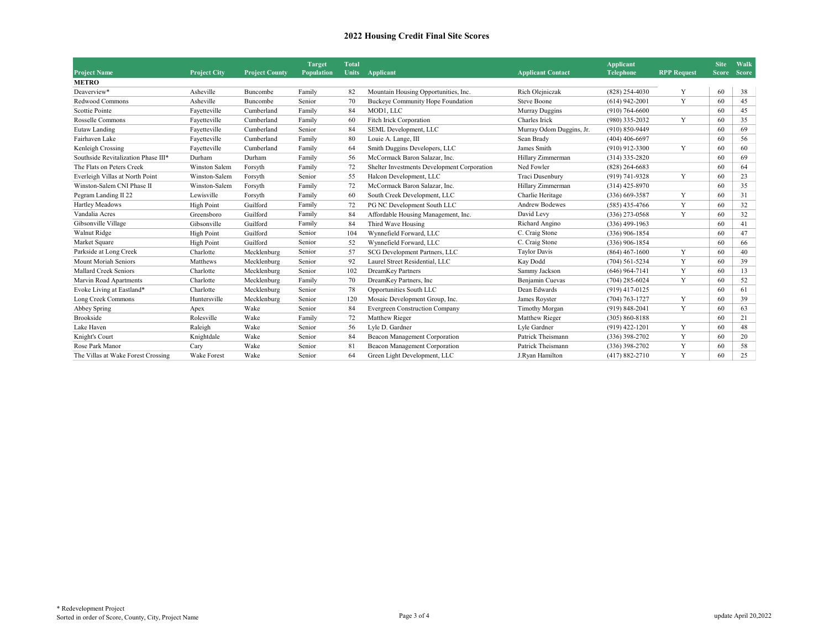|                                     |                                                                                                                            |             | <b>Target</b> | <b>Total</b>     |                                             |                          | <b>Applicant</b>   |   | <b>Site</b> | Walk |
|-------------------------------------|----------------------------------------------------------------------------------------------------------------------------|-------------|---------------|------------------|---------------------------------------------|--------------------------|--------------------|---|-------------|------|
| <b>Project Name</b>                 | <b>Project County</b><br><b>Population</b><br><b>Units</b><br>Applicant<br><b>Applicant Contact</b><br><b>Project City</b> |             |               | <b>Telephone</b> | <b>RPP Request</b>                          | <b>Score</b>             | <b>Score</b>       |   |             |      |
| <b>METRO</b>                        |                                                                                                                            |             |               |                  |                                             |                          |                    |   |             |      |
| Deaverview*                         | Asheville                                                                                                                  | Buncombe    | Family        | 82               | Mountain Housing Opportunities, Inc.        | Rich Olejniczak          | $(828)$ 254-4030   | Y | 60          | 38   |
| Redwood Commons                     | Asheville                                                                                                                  | Buncombe    | Senior        | 70               | Buckeye Community Hope Foundation           | <b>Steve Boone</b>       | $(614)$ 942-2001   | Y | 60          | 45   |
| Scottie Pointe                      | Fayetteville                                                                                                               | Cumberland  | Family        | 84               | MOD1, LLC                                   | Murray Duggins           | $(910) 764 - 6600$ |   | 60          | 45   |
| Rosselle Commons                    | Fayetteville                                                                                                               | Cumberland  | Family        | 60               | Fitch Irick Corporation                     | Charles Irick            | (980) 335-2032     | Y | 60          | 35   |
| Eutaw Landing                       | Fayetteville                                                                                                               | Cumberland  | Senior        | 84               | SEML Development, LLC                       | Murray Odom Duggins, Jr. | $(910) 850 - 9449$ |   | 60          | 69   |
| Fairhaven Lake                      | Fayetteville                                                                                                               | Cumberland  | Family        | 80               | Louie A. Lange, III                         | Sean Brady               | $(404)$ 406-6697   |   | 60          | 56   |
| Kenleigh Crossing                   | Fayetteville                                                                                                               | Cumberland  | Family        | 64               | Smith Duggins Developers, LLC               | James Smith              | $(910)$ 912-3300   | Y | 60          | 60   |
| Southside Revitalization Phase III* | Durham                                                                                                                     | Durham      | Family        | 56               | McCormack Baron Salazar, Inc.               | Hillary Zimmerman        | $(314)$ 335-2820   |   | 60          | 69   |
| The Flats on Peters Creek           | Winston Salem                                                                                                              | Forsyth     | Family        | 72               | Shelter Investments Development Corporation | Ned Fowler               | $(828)$ 264-6683   |   | 60          | 64   |
| Everleigh Villas at North Point     | Winston-Salem                                                                                                              | Forsyth     | Senior        | 55               | Halcon Development, LLC                     | Traci Dusenbury          | (919) 741-9328     | Y | 60          | 23   |
| Winston-Salem CNI Phase II          | Winston-Salem                                                                                                              | Forsyth     | Family        | 72               | McCormack Baron Salazar, Inc.               | Hillary Zimmerman        | $(314)$ 425-8970   |   | 60          | 35   |
| Pegram Landing II 22                | Lewisville                                                                                                                 | Forsyth     | Family        | 60               | South Creek Development, LLC                | Charlie Heritage         | $(336)$ 669-3587   | Y | 60          | 31   |
| Hartley Meadows                     | <b>High Point</b>                                                                                                          | Guilford    | Family        | 72               | PG NC Development South LLC                 | <b>Andrew Bodewes</b>    | $(585)$ 435-4766   | Y | 60          | 32   |
| Vandalia Acres                      | Greensboro                                                                                                                 | Guilford    | Family        | 84               | Affordable Housing Management, Inc.         | David Levy               | $(336)$ 273-0568   | Y | 60          | 32   |
| Gibsonville Village                 | Gibsonville                                                                                                                | Guilford    | Family        | 84               | Third Wave Housing                          | Richard Angino           | $(336)$ 499-1963   |   | 60          | 41   |
| Walnut Ridge                        | <b>High Point</b>                                                                                                          | Guilford    | Senior        | 104              | Wynnefield Forward, LLC                     | C. Craig Stone           | $(336)$ 906-1854   |   | 60          | 47   |
| Market Square                       | <b>High Point</b>                                                                                                          | Guilford    | Senior        | 52               | Wynnefield Forward, LLC                     | C. Craig Stone           | $(336)$ 906-1854   |   | 60          | 66   |
| Parkside at Long Creek              | Charlotte                                                                                                                  | Mecklenburg | Senior        | 57               | SCG Development Partners, LLC               | <b>Taylor Davis</b>      | $(864)$ 467-1600   | Y | 60          | 40   |
| Mount Moriah Seniors                | Matthews                                                                                                                   | Mecklenburg | Senior        | 92               | Laurel Street Residential, LLC              | Kay Dodd                 | $(704)$ 561-5234   | Y | 60          | 39   |
| <b>Mallard Creek Seniors</b>        | Charlotte                                                                                                                  | Mecklenburg | Senior        | 102              | <b>DreamKey Partners</b>                    | Sammy Jackson            | $(646)$ 964-7141   | Y | 60          | 13   |
| Marvin Road Apartments              | Charlotte                                                                                                                  | Mecklenburg | Family        | 70               | DreamKey Partners, Inc.                     | Benjamin Cuevas          | $(704)$ 285-6024   | Y | 60          | 52   |
| Evoke Living at Eastland*           | Charlotte                                                                                                                  | Mecklenburg | Senior        | 78               | Opportunities South LLC                     | Dean Edwards             | $(919)$ 417-0125   |   | 60          | 61   |
| Long Creek Commons                  | Huntersville                                                                                                               | Mecklenburg | Senior        | 120              | Mosaic Development Group, Inc.              | James Royster            | $(704) 763 - 1727$ | Y | 60          | 39   |
| Abbey Spring                        | Apex                                                                                                                       | Wake        | Senior        | 84               | <b>Evergreen Construction Company</b>       | Timothy Morgan           | $(919) 848 - 2041$ | Y | 60          | 63   |
| Brookside                           | Rolesville                                                                                                                 | Wake        | Family        | 72               | Matthew Rieger                              | Matthew Rieger           | $(305) 860 - 8188$ |   | 60          | 21   |
| Lake Haven                          | Raleigh                                                                                                                    | Wake        | Senior        | 56               | Lyle D. Gardner                             | Lyle Gardner             | $(919)$ 422-1201   | Y | 60          | 48   |
| Knight's Court                      | Knightdale                                                                                                                 | Wake        | Senior        | 84               | Beacon Management Corporation               | Patrick Theismann        | $(336)$ 398-2702   | Y | 60          | 20   |
| Rose Park Manor                     | Cary                                                                                                                       | Wake        | Senior        | 81               | Beacon Management Corporation               | Patrick Theismann        | $(336)$ 398-2702   | Y | 60          | 58   |
| The Villas at Wake Forest Crossing  | <b>Wake Forest</b>                                                                                                         | Wake        | Senior        | 64               | Green Light Development, LLC                | J.Ryan Hamilton          | $(417) 882 - 2710$ | Y | 60          | 25   |